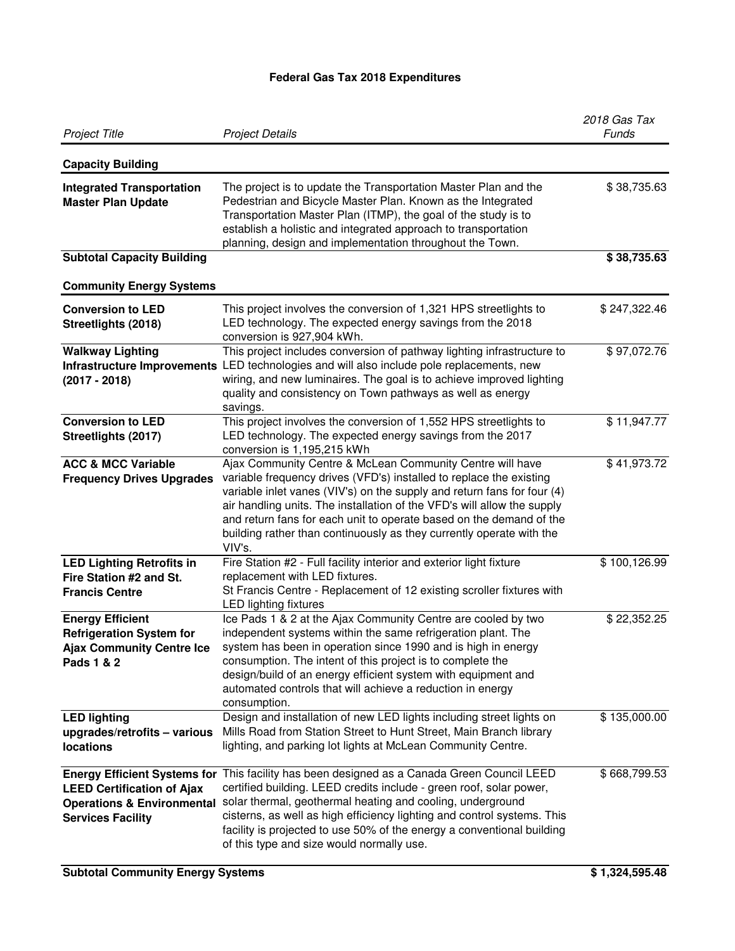## **Federal Gas Tax 2018 Expenditures**

| <b>Project Title</b>                                                                                         | <b>Project Details</b>                                                                                                                                                                                                                                                                                                                                                                                                                          | 2018 Gas Tax<br>Funds |
|--------------------------------------------------------------------------------------------------------------|-------------------------------------------------------------------------------------------------------------------------------------------------------------------------------------------------------------------------------------------------------------------------------------------------------------------------------------------------------------------------------------------------------------------------------------------------|-----------------------|
| <b>Capacity Building</b>                                                                                     |                                                                                                                                                                                                                                                                                                                                                                                                                                                 |                       |
| <b>Integrated Transportation</b><br><b>Master Plan Update</b>                                                | The project is to update the Transportation Master Plan and the<br>Pedestrian and Bicycle Master Plan. Known as the Integrated<br>Transportation Master Plan (ITMP), the goal of the study is to<br>establish a holistic and integrated approach to transportation<br>planning, design and implementation throughout the Town.                                                                                                                  | \$38,735.63           |
| <b>Subtotal Capacity Building</b>                                                                            |                                                                                                                                                                                                                                                                                                                                                                                                                                                 | \$38,735.63           |
| <b>Community Energy Systems</b>                                                                              |                                                                                                                                                                                                                                                                                                                                                                                                                                                 |                       |
| <b>Conversion to LED</b><br>Streetlights (2018)                                                              | This project involves the conversion of 1,321 HPS streetlights to<br>LED technology. The expected energy savings from the 2018<br>conversion is 927,904 kWh.                                                                                                                                                                                                                                                                                    | \$247,322.46          |
| <b>Walkway Lighting</b><br>$(2017 - 2018)$                                                                   | This project includes conversion of pathway lighting infrastructure to<br>Infrastructure Improvements LED technologies and will also include pole replacements, new<br>wiring, and new luminaires. The goal is to achieve improved lighting<br>quality and consistency on Town pathways as well as energy<br>savings.                                                                                                                           | \$97,072.76           |
| <b>Conversion to LED</b><br>Streetlights (2017)                                                              | This project involves the conversion of 1,552 HPS streetlights to<br>LED technology. The expected energy savings from the 2017<br>conversion is 1,195,215 kWh                                                                                                                                                                                                                                                                                   | \$11,947.77           |
| <b>ACC &amp; MCC Variable</b><br><b>Frequency Drives Upgrades</b>                                            | Ajax Community Centre & McLean Community Centre will have<br>variable frequency drives (VFD's) installed to replace the existing<br>variable inlet vanes (VIV's) on the supply and return fans for four (4)<br>air handling units. The installation of the VFD's will allow the supply<br>and return fans for each unit to operate based on the demand of the<br>building rather than continuously as they currently operate with the<br>VIV's. | \$41,973.72           |
| <b>LED Lighting Retrofits in</b><br>Fire Station #2 and St.<br><b>Francis Centre</b>                         | Fire Station #2 - Full facility interior and exterior light fixture<br>replacement with LED fixtures.<br>St Francis Centre - Replacement of 12 existing scroller fixtures with<br><b>LED lighting fixtures</b>                                                                                                                                                                                                                                  | \$100,126.99          |
| <b>Energy Efficient</b><br><b>Refrigeration System for</b><br><b>Ajax Community Centre Ice</b><br>Pads 1 & 2 | Ice Pads 1 & 2 at the Ajax Community Centre are cooled by two<br>independent systems within the same refrigeration plant. The<br>system has been in operation since 1990 and is high in energy<br>consumption. The intent of this project is to complete the<br>design/build of an energy efficient system with equipment and<br>automated controls that will achieve a reduction in energy<br>consumption.                                     | \$22,352.25           |
| <b>LED lighting</b><br>upgrades/retrofits - various<br>locations                                             | Design and installation of new LED lights including street lights on<br>Mills Road from Station Street to Hunt Street, Main Branch library<br>lighting, and parking lot lights at McLean Community Centre.                                                                                                                                                                                                                                      | \$135,000.00          |
| <b>LEED Certification of Ajax</b><br><b>Operations &amp; Environmental</b><br><b>Services Facility</b>       | Energy Efficient Systems for This facility has been designed as a Canada Green Council LEED<br>certified building. LEED credits include - green roof, solar power,<br>solar thermal, geothermal heating and cooling, underground<br>cisterns, as well as high efficiency lighting and control systems. This<br>facility is projected to use 50% of the energy a conventional building<br>of this type and size would normally use.              | \$668,799.53          |